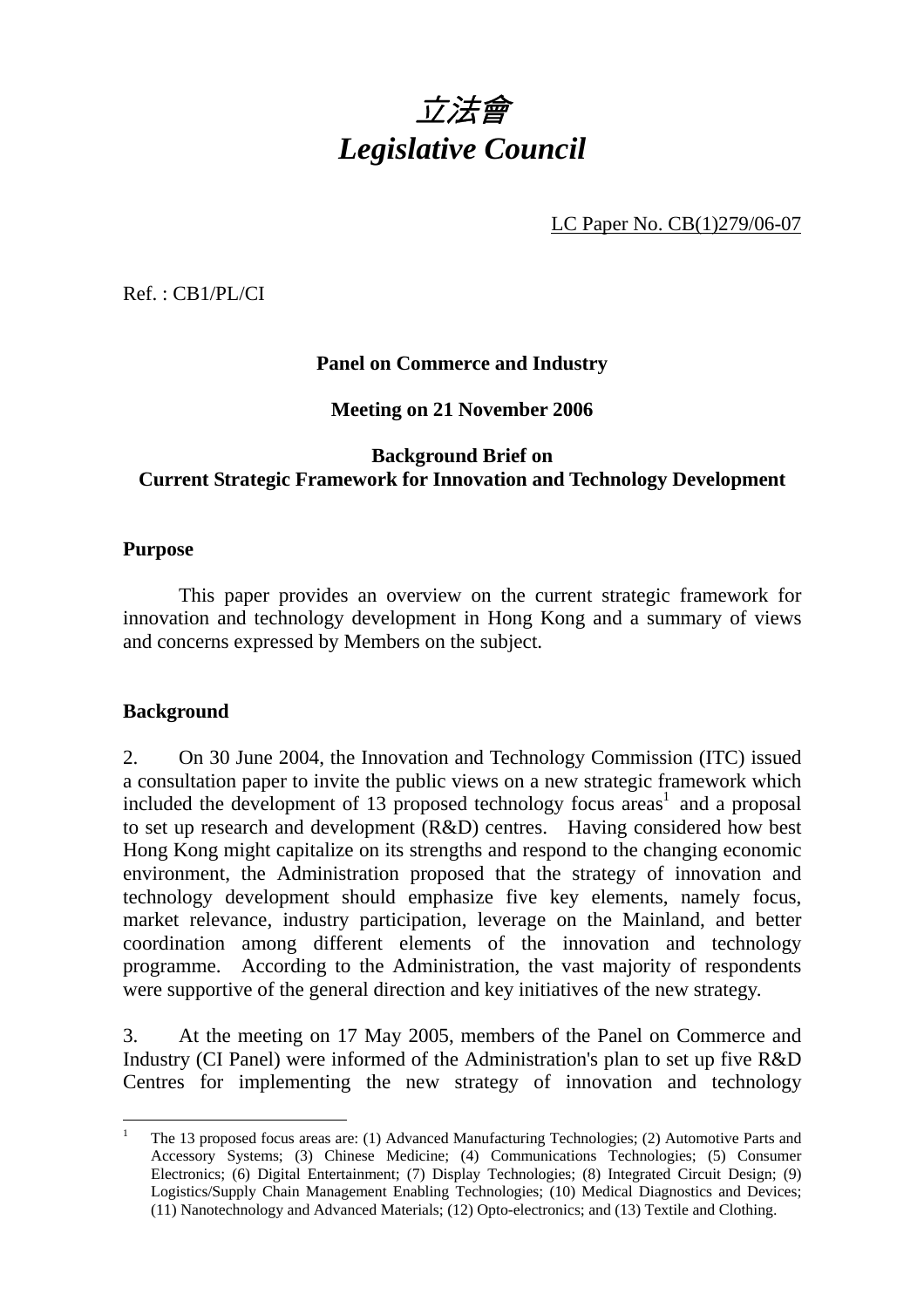

LC Paper No. CB(1)279/06-07

Ref. : CB1/PL/CI

# **Panel on Commerce and Industry**

**Meeting on 21 November 2006** 

# **Background Brief on Current Strategic Framework for Innovation and Technology Development**

#### **Purpose**

 This paper provides an overview on the current strategic framework for innovation and technology development in Hong Kong and a summary of views and concerns expressed by Members on the subject.

# **Background**

 $\overline{a}$ 

2. On 30 June 2004, the Innovation and Technology Commission (ITC) issued a consultation paper to invite the public views on a new strategic framework which included the development of 13 proposed technology focus  $area<sup>1</sup>$  and a proposal to set up research and development (R&D) centres. Having considered how best Hong Kong might capitalize on its strengths and respond to the changing economic environment, the Administration proposed that the strategy of innovation and technology development should emphasize five key elements, namely focus, market relevance, industry participation, leverage on the Mainland, and better coordination among different elements of the innovation and technology programme. According to the Administration, the vast majority of respondents were supportive of the general direction and key initiatives of the new strategy.

3. At the meeting on 17 May 2005, members of the Panel on Commerce and Industry (CI Panel) were informed of the Administration's plan to set up five R&D Centres for implementing the new strategy of innovation and technology

<sup>1</sup> The 13 proposed focus areas are: (1) Advanced Manufacturing Technologies; (2) Automotive Parts and Accessory Systems; (3) Chinese Medicine; (4) Communications Technologies; (5) Consumer Electronics; (6) Digital Entertainment; (7) Display Technologies; (8) Integrated Circuit Design; (9) Logistics/Supply Chain Management Enabling Technologies; (10) Medical Diagnostics and Devices; (11) Nanotechnology and Advanced Materials; (12) Opto-electronics; and (13) Textile and Clothing.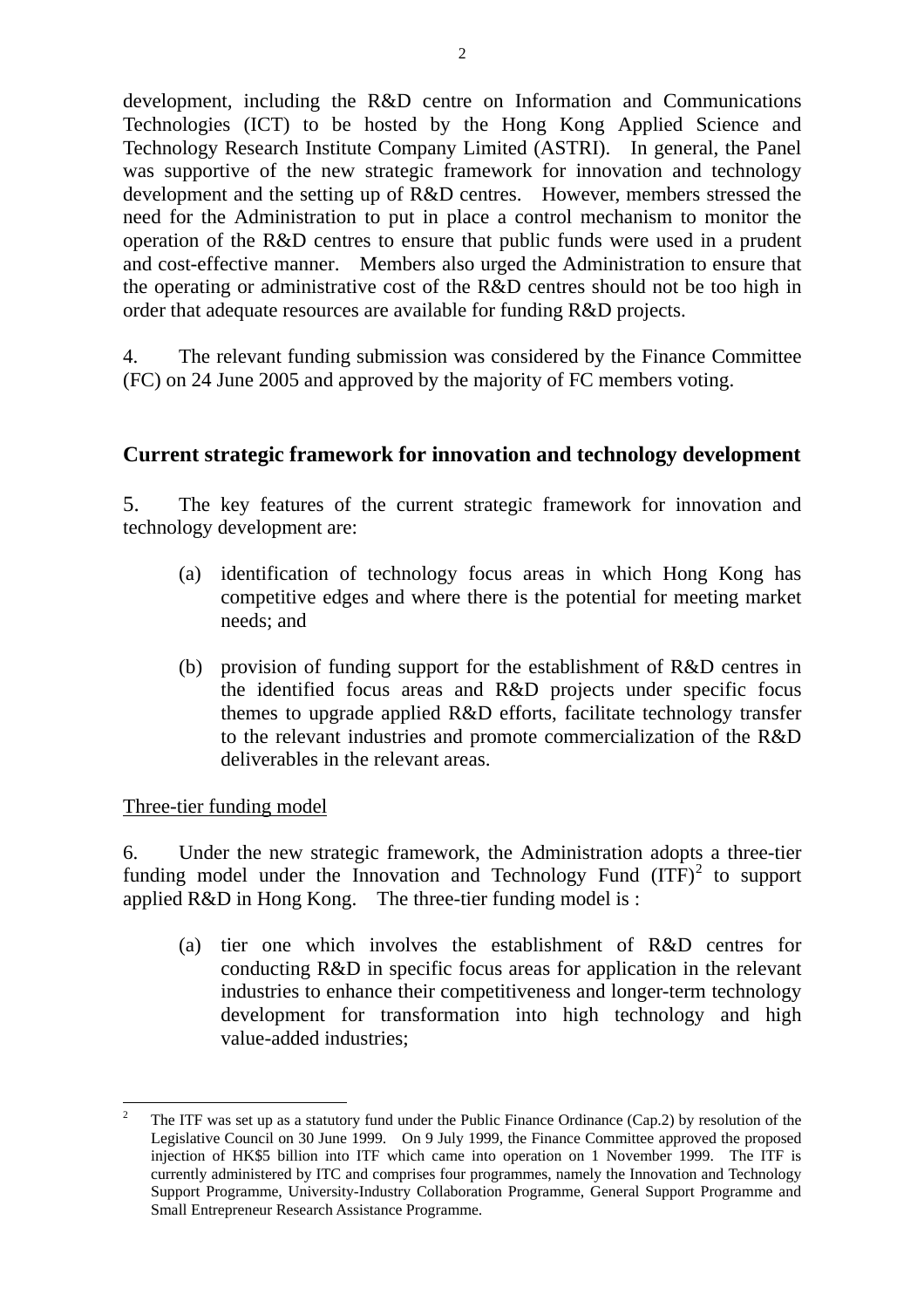development, including the R&D centre on Information and Communications Technologies (ICT) to be hosted by the Hong Kong Applied Science and Technology Research Institute Company Limited (ASTRI). In general, the Panel was supportive of the new strategic framework for innovation and technology development and the setting up of R&D centres. However, members stressed the need for the Administration to put in place a control mechanism to monitor the operation of the R&D centres to ensure that public funds were used in a prudent and cost-effective manner. Members also urged the Administration to ensure that the operating or administrative cost of the R&D centres should not be too high in order that adequate resources are available for funding R&D projects.

4. The relevant funding submission was considered by the Finance Committee (FC) on 24 June 2005 and approved by the majority of FC members voting.

# **Current strategic framework for innovation and technology development**

5. The key features of the current strategic framework for innovation and technology development are:

- (a) identification of technology focus areas in which Hong Kong has competitive edges and where there is the potential for meeting market needs; and
- (b) provision of funding support for the establishment of R&D centres in the identified focus areas and R&D projects under specific focus themes to upgrade applied R&D efforts, facilitate technology transfer to the relevant industries and promote commercialization of the R&D deliverables in the relevant areas.

Three-tier funding model

6. Under the new strategic framework, the Administration adopts a three-tier funding model under the Innovation and Technology Fund  $(ITF)^2$  to support applied R&D in Hong Kong. The three-tier funding model is :

(a) tier one which involves the establishment of R&D centres for conducting R&D in specific focus areas for application in the relevant industries to enhance their competitiveness and longer-term technology development for transformation into high technology and high value-added industries;

 $\overline{a}$ 2 The ITF was set up as a statutory fund under the Public Finance Ordinance (Cap.2) by resolution of the Legislative Council on 30 June 1999. On 9 July 1999, the Finance Committee approved the proposed injection of HK\$5 billion into ITF which came into operation on 1 November 1999. The ITF is currently administered by ITC and comprises four programmes, namely the Innovation and Technology Support Programme, University-Industry Collaboration Programme, General Support Programme and Small Entrepreneur Research Assistance Programme.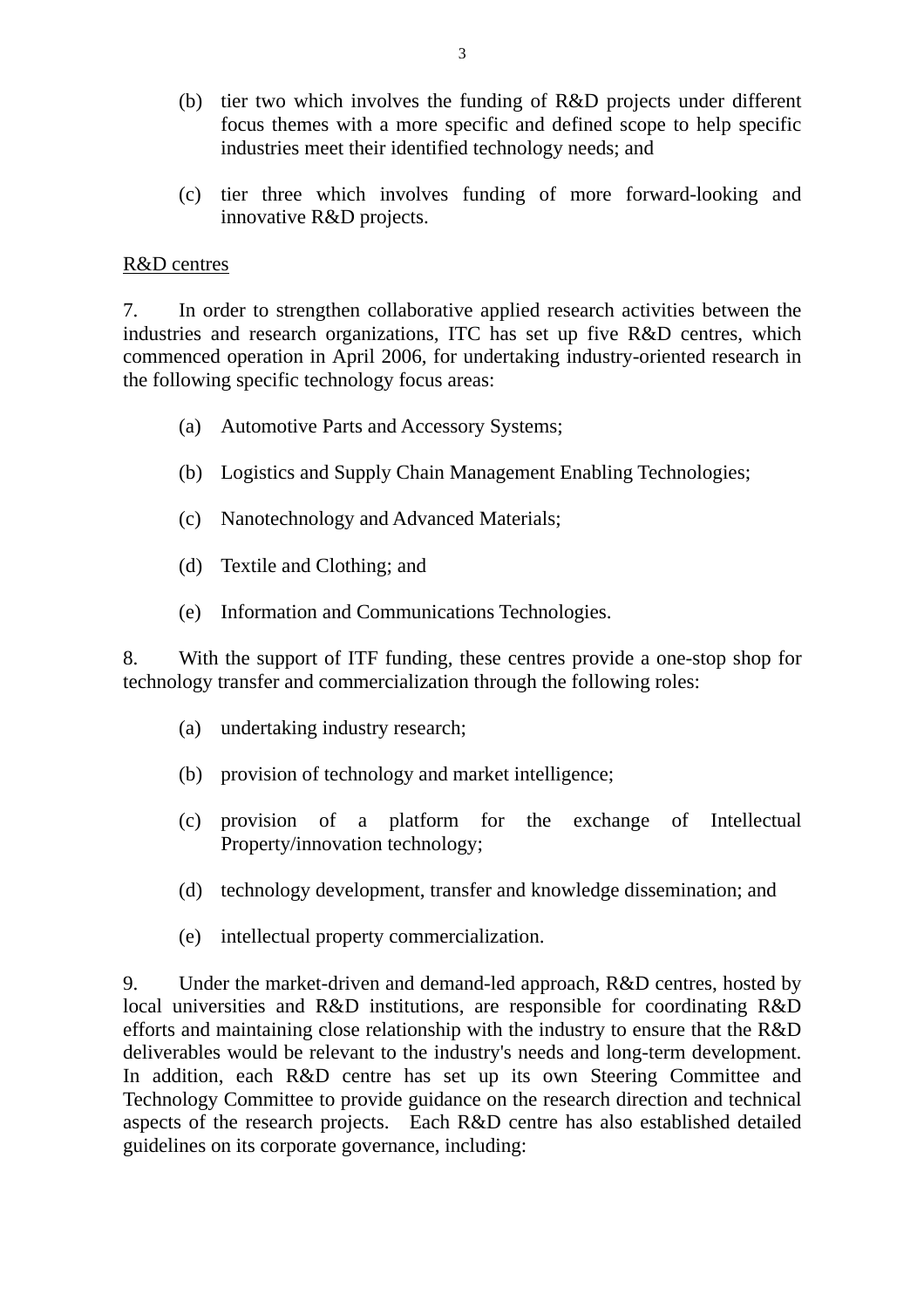- (b) tier two which involves the funding of R&D projects under different focus themes with a more specific and defined scope to help specific industries meet their identified technology needs; and
- (c) tier three which involves funding of more forward-looking and innovative R&D projects.

#### R&D centres

7. In order to strengthen collaborative applied research activities between the industries and research organizations, ITC has set up five R&D centres, which commenced operation in April 2006, for undertaking industry-oriented research in the following specific technology focus areas:

- (a) Automotive Parts and Accessory Systems;
- (b) Logistics and Supply Chain Management Enabling Technologies;
- (c) Nanotechnology and Advanced Materials;
- (d) Textile and Clothing; and
- (e) Information and Communications Technologies.

8. With the support of ITF funding, these centres provide a one-stop shop for technology transfer and commercialization through the following roles:

- (a) undertaking industry research;
- (b) provision of technology and market intelligence;
- (c) provision of a platform for the exchange of Intellectual Property/innovation technology;
- (d) technology development, transfer and knowledge dissemination; and
- (e) intellectual property commercialization.

9. Under the market-driven and demand-led approach, R&D centres, hosted by local universities and R&D institutions, are responsible for coordinating R&D efforts and maintaining close relationship with the industry to ensure that the R&D deliverables would be relevant to the industry's needs and long-term development. In addition, each R&D centre has set up its own Steering Committee and Technology Committee to provide guidance on the research direction and technical aspects of the research projects. Each R&D centre has also established detailed guidelines on its corporate governance, including: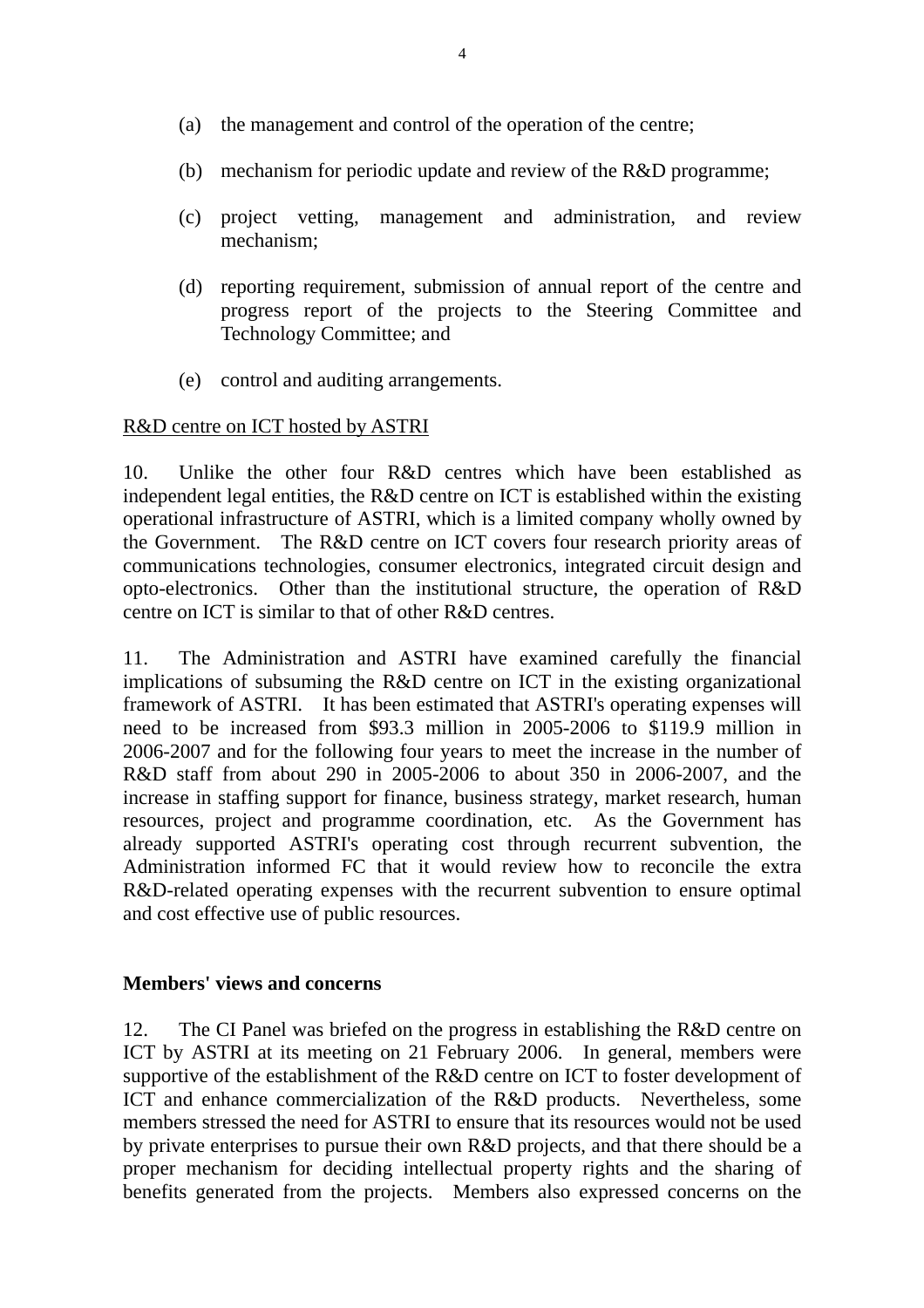- (a) the management and control of the operation of the centre;
- (b) mechanism for periodic update and review of the R&D programme;
- (c) project vetting, management and administration, and review mechanism;
- (d) reporting requirement, submission of annual report of the centre and progress report of the projects to the Steering Committee and Technology Committee; and
- (e) control and auditing arrangements.

#### R&D centre on ICT hosted by ASTRI

10. Unlike the other four R&D centres which have been established as independent legal entities, the R&D centre on ICT is established within the existing operational infrastructure of ASTRI, which is a limited company wholly owned by the Government. The R&D centre on ICT covers four research priority areas of communications technologies, consumer electronics, integrated circuit design and opto-electronics. Other than the institutional structure, the operation of R&D centre on ICT is similar to that of other R&D centres.

11. The Administration and ASTRI have examined carefully the financial implications of subsuming the R&D centre on ICT in the existing organizational framework of ASTRI. It has been estimated that ASTRI's operating expenses will need to be increased from \$93.3 million in 2005-2006 to \$119.9 million in 2006-2007 and for the following four years to meet the increase in the number of R&D staff from about 290 in 2005-2006 to about 350 in 2006-2007, and the increase in staffing support for finance, business strategy, market research, human resources, project and programme coordination, etc. As the Government has already supported ASTRI's operating cost through recurrent subvention, the Administration informed FC that it would review how to reconcile the extra R&D-related operating expenses with the recurrent subvention to ensure optimal and cost effective use of public resources.

#### **Members' views and concerns**

12. The CI Panel was briefed on the progress in establishing the R&D centre on ICT by ASTRI at its meeting on 21 February 2006. In general, members were supportive of the establishment of the R&D centre on ICT to foster development of ICT and enhance commercialization of the R&D products. Nevertheless, some members stressed the need for ASTRI to ensure that its resources would not be used by private enterprises to pursue their own R&D projects, and that there should be a proper mechanism for deciding intellectual property rights and the sharing of benefits generated from the projects. Members also expressed concerns on the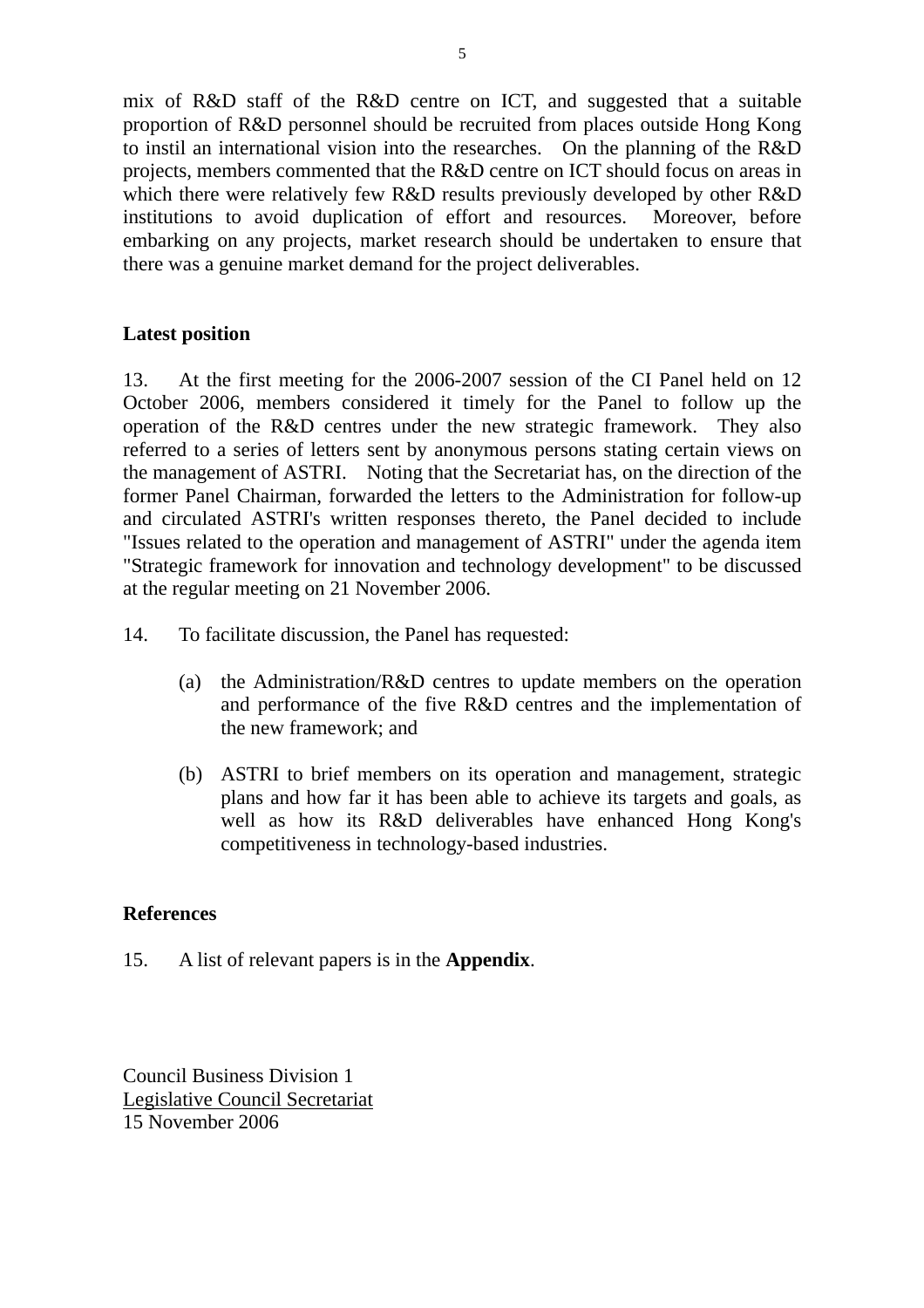mix of R&D staff of the R&D centre on ICT, and suggested that a suitable proportion of R&D personnel should be recruited from places outside Hong Kong to instil an international vision into the researches. On the planning of the R&D projects, members commented that the R&D centre on ICT should focus on areas in which there were relatively few R&D results previously developed by other R&D institutions to avoid duplication of effort and resources. Moreover, before embarking on any projects, market research should be undertaken to ensure that there was a genuine market demand for the project deliverables.

# **Latest position**

13. At the first meeting for the 2006-2007 session of the CI Panel held on 12 October 2006, members considered it timely for the Panel to follow up the operation of the R&D centres under the new strategic framework. They also referred to a series of letters sent by anonymous persons stating certain views on the management of ASTRI. Noting that the Secretariat has, on the direction of the former Panel Chairman, forwarded the letters to the Administration for follow-up and circulated ASTRI's written responses thereto, the Panel decided to include "Issues related to the operation and management of ASTRI" under the agenda item "Strategic framework for innovation and technology development" to be discussed at the regular meeting on 21 November 2006.

- 14. To facilitate discussion, the Panel has requested:
	- (a) the Administration/R&D centres to update members on the operation and performance of the five R&D centres and the implementation of the new framework; and
	- (b) ASTRI to brief members on its operation and management, strategic plans and how far it has been able to achieve its targets and goals, as well as how its R&D deliverables have enhanced Hong Kong's competitiveness in technology-based industries.

# **References**

15. A list of relevant papers is in the **Appendix**.

Council Business Division 1 Legislative Council Secretariat 15 November 2006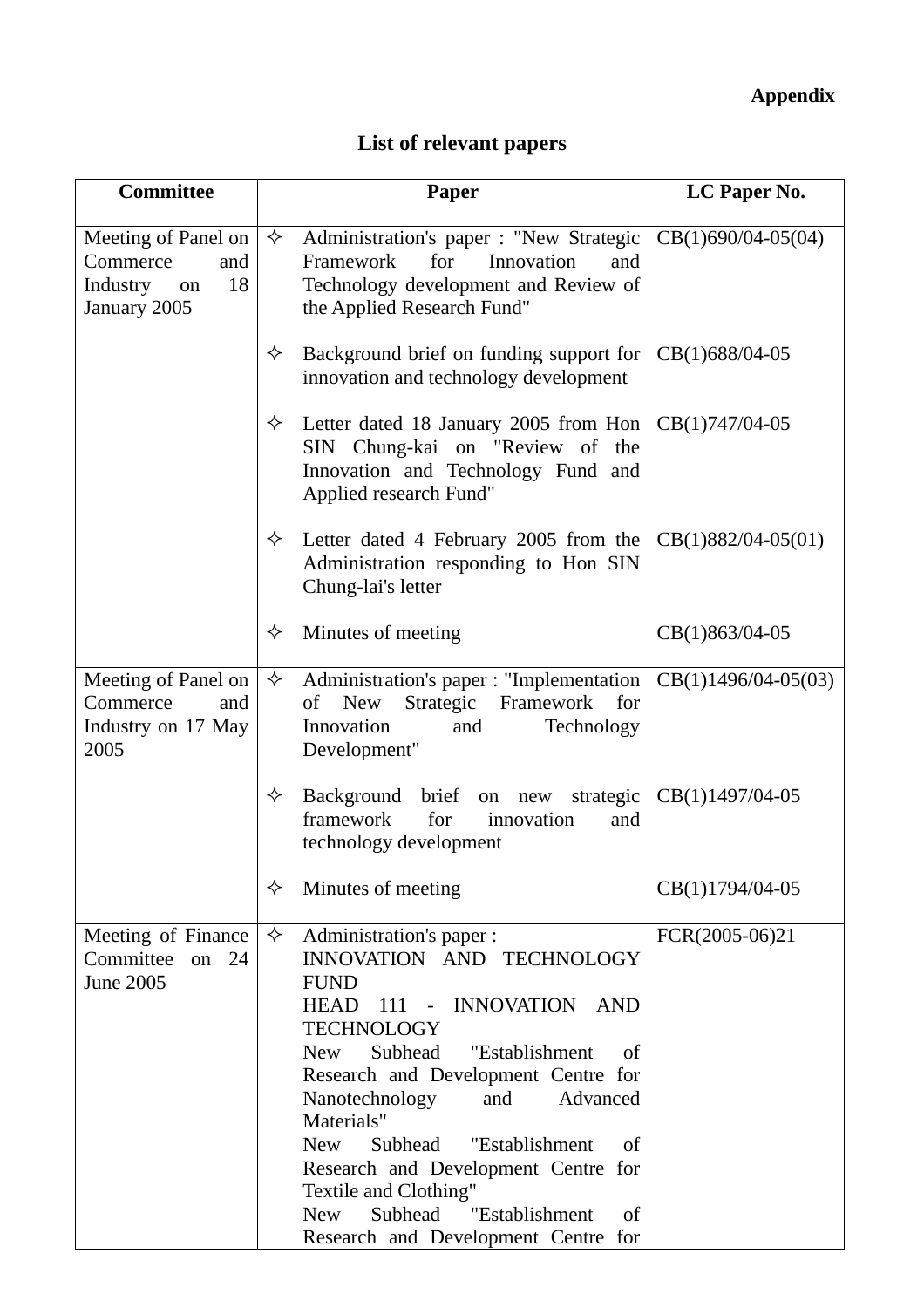# **Appendix**

# **List of relevant papers**

| <b>Committee</b>                                                               | <b>Paper</b>                                                                                                                                                                                                                                                                                                                                                                                                                                                                                                  | LC Paper No.          |
|--------------------------------------------------------------------------------|---------------------------------------------------------------------------------------------------------------------------------------------------------------------------------------------------------------------------------------------------------------------------------------------------------------------------------------------------------------------------------------------------------------------------------------------------------------------------------------------------------------|-----------------------|
| Meeting of Panel on<br>Commerce<br>and<br>18<br>Industry<br>on<br>January 2005 | Administration's paper : "New Strategic  <br>✧<br>for<br>Framework<br>Innovation<br>and<br>Technology development and Review of<br>the Applied Research Fund"                                                                                                                                                                                                                                                                                                                                                 | $CB(1)690/04-05(04)$  |
|                                                                                | ✧<br>Background brief on funding support for<br>innovation and technology development                                                                                                                                                                                                                                                                                                                                                                                                                         | $CB(1)688/04-05$      |
|                                                                                | Letter dated 18 January 2005 from Hon<br>✧<br>SIN Chung-kai on "Review of the<br>Innovation and Technology Fund and<br>Applied research Fund"                                                                                                                                                                                                                                                                                                                                                                 | CB(1)747/04-05        |
|                                                                                | ✧<br>Letter dated 4 February 2005 from the<br>Administration responding to Hon SIN<br>Chung-lai's letter                                                                                                                                                                                                                                                                                                                                                                                                      | $CB(1)882/04-05(01)$  |
|                                                                                | Minutes of meeting<br>✧                                                                                                                                                                                                                                                                                                                                                                                                                                                                                       | CB(1)863/04-05        |
| Meeting of Panel on<br>Commerce<br>and<br>Industry on 17 May<br>2005           | ✧<br>Administration's paper : "Implementation<br>Strategic Framework<br>of<br><b>New</b><br>for<br>Innovation<br>and<br>Technology<br>Development"                                                                                                                                                                                                                                                                                                                                                            | $CB(1)1496/04-05(03)$ |
|                                                                                | ✧<br>Background<br>brief on new<br>strategic<br>for<br>framework<br>innovation<br>and<br>technology development                                                                                                                                                                                                                                                                                                                                                                                               | CB(1)1497/04-05       |
|                                                                                | Minutes of meeting<br>✧                                                                                                                                                                                                                                                                                                                                                                                                                                                                                       | CB(1)1794/04-05       |
| Meeting of Finance<br>Committee<br>on $24$<br><b>June 2005</b>                 | Administration's paper :<br>✧<br>INNOVATION AND TECHNOLOGY<br><b>FUND</b><br><b>HEAD</b><br><b>INNOVATION</b><br><b>AND</b><br>111 -<br><b>TECHNOLOGY</b><br>Subhead<br>"Establishment<br><b>New</b><br>οf<br>Research and Development Centre for<br>Advanced<br>Nanotechnology<br>and<br>Materials"<br>"Establishment<br><b>New</b><br>Subhead<br>of<br>Research and Development Centre for<br>Textile and Clothing"<br>Subhead<br>"Establishment<br><b>New</b><br>of<br>Research and Development Centre for | FCR(2005-06)21        |